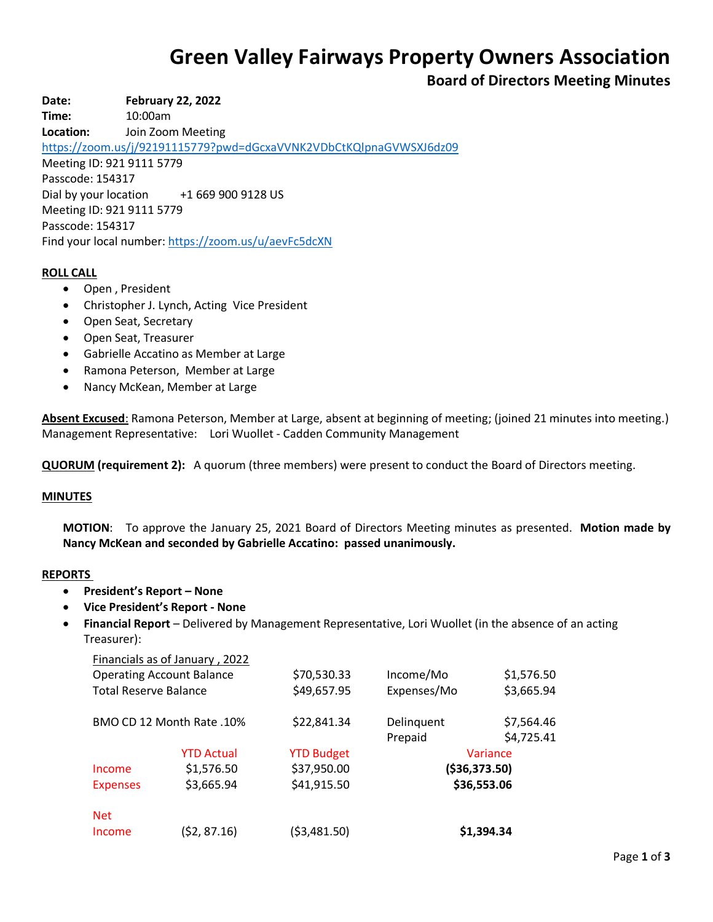# **Green Valley Fairways Property Owners Association**

**Board of Directors Meeting Minutes**

**Date: February 22, 2022**

**Time:** 10:00am

**Location:** Join Zoom Meeting

<https://zoom.us/j/92191115779?pwd=dGcxaVVNK2VDbCtKQlpnaGVWSXJ6dz09>

Meeting ID: 921 9111 5779 Passcode: 154317 Dial by your location +1 669 900 9128 US Meeting ID: 921 9111 5779 Passcode: 154317 Find your local number[: https://zoom.us/u/aevFc5dcXN](https://zoom.us/u/aevFc5dcXN)

# **ROLL CALL**

- Open , President
- Christopher J. Lynch, Acting Vice President
- Open Seat, Secretary
- Open Seat, Treasurer
- Gabrielle Accatino as Member at Large
- Ramona Peterson, Member at Large
- Nancy McKean, Member at Large

**Absent Excused**: Ramona Peterson, Member at Large, absent at beginning of meeting; (joined 21 minutes into meeting.) Management Representative: Lori Wuollet - Cadden Community Management

**QUORUM (requirement 2):** A quorum (three members) were present to conduct the Board of Directors meeting.

## **MINUTES**

**MOTION**: To approve the January 25, 2021 Board of Directors Meeting minutes as presented. **Motion made by Nancy McKean and seconded by Gabrielle Accatino: passed unanimously.**

#### **REPORTS**

- **President's Report – None**
- **Vice President's Report - None**
- **Financial Report** Delivered by Management Representative, Lori Wuollet (in the absence of an acting Treasurer):

|                                  | Financials as of January, 2022 |                   |               |            |
|----------------------------------|--------------------------------|-------------------|---------------|------------|
| <b>Operating Account Balance</b> |                                | \$70,530.33       | Income/Mo     | \$1,576.50 |
| <b>Total Reserve Balance</b>     |                                | \$49,657.95       | Expenses/Mo   | \$3,665.94 |
| BMO CD 12 Month Rate .10%        |                                | \$22,841.34       | Delinquent    | \$7,564.46 |
|                                  |                                |                   | Prepaid       | \$4,725.41 |
|                                  | <b>YTD Actual</b>              | <b>YTD Budget</b> | Variance      |            |
| Income                           | \$1,576.50                     | \$37,950.00       | (\$36,373.50) |            |
| <b>Expenses</b>                  | \$3,665.94                     | \$41,915.50       | \$36,553.06   |            |
| <b>Net</b>                       |                                |                   |               |            |
| Income                           | (\$2, 87.16)                   | (\$3,481.50)      | \$1,394.34    |            |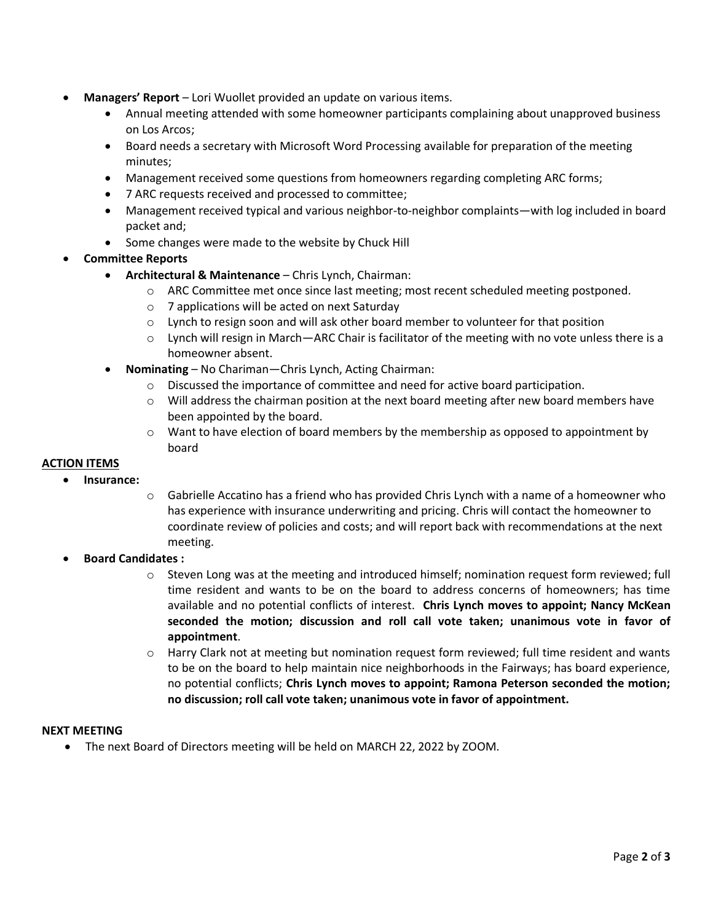- **Managers' Report** Lori Wuollet provided an update on various items.
	- Annual meeting attended with some homeowner participants complaining about unapproved business on Los Arcos;
	- Board needs a secretary with Microsoft Word Processing available for preparation of the meeting minutes;
	- Management received some questions from homeowners regarding completing ARC forms;
	- 7 ARC requests received and processed to committee;
	- Management received typical and various neighbor-to-neighbor complaints—with log included in board packet and;
	- Some changes were made to the website by Chuck Hill
- **Committee Reports**
	- **Architectural & Maintenance** Chris Lynch, Chairman:
		- o ARC Committee met once since last meeting; most recent scheduled meeting postponed.
		- o 7 applications will be acted on next Saturday
		- $\circ$  Lynch to resign soon and will ask other board member to volunteer for that position
		- $\circ$  Lynch will resign in March—ARC Chair is facilitator of the meeting with no vote unless there is a homeowner absent.
	- **Nominating**  No Chariman—Chris Lynch, Acting Chairman:
		- $\circ$  Discussed the importance of committee and need for active board participation.
		- $\circ$  Will address the chairman position at the next board meeting after new board members have been appointed by the board.
		- $\circ$  Want to have election of board members by the membership as opposed to appointment by board

## **ACTION ITEMS**

- **Insurance:**
	- $\circ$  Gabrielle Accatino has a friend who has provided Chris Lynch with a name of a homeowner who has experience with insurance underwriting and pricing. Chris will contact the homeowner to coordinate review of policies and costs; and will report back with recommendations at the next meeting.
- **Board Candidates :**
	- $\circ$  Steven Long was at the meeting and introduced himself; nomination request form reviewed; full time resident and wants to be on the board to address concerns of homeowners; has time available and no potential conflicts of interest. **Chris Lynch moves to appoint; Nancy McKean seconded the motion; discussion and roll call vote taken; unanimous vote in favor of appointment**.
	- $\circ$  Harry Clark not at meeting but nomination request form reviewed; full time resident and wants to be on the board to help maintain nice neighborhoods in the Fairways; has board experience, no potential conflicts; **Chris Lynch moves to appoint; Ramona Peterson seconded the motion; no discussion; roll call vote taken; unanimous vote in favor of appointment.**

## **NEXT MEETING**

The next Board of Directors meeting will be held on MARCH 22, 2022 by ZOOM.